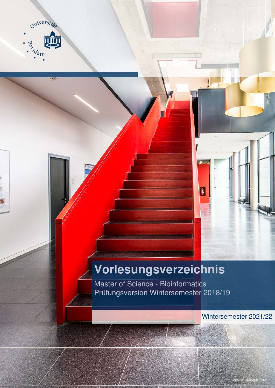

# **Vorlesungsverzeichnis**

I

Master of Science - Bioinformatics Prüfungsversion Wintersemester 2018/19

Wintersemester 2021/22

Quelle: Matthias Friel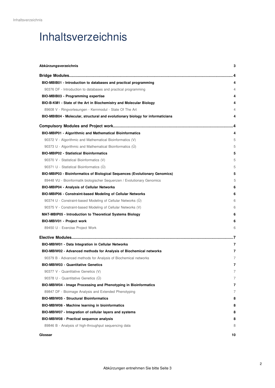## Inhaltsverzeichnis

| Abkürzungsverzeichnis                                                          | 3   |
|--------------------------------------------------------------------------------|-----|
|                                                                                |     |
| BIO-MBIB01 - Introduction to databases and practical programming               | 4   |
| 90376 DF - Introduction to databases and practical programming                 | 4   |
| <b>BIO-MBIB03 - Programming expertise</b>                                      | 4   |
| BIO-B-KM1 - State of the Art in Biochemistry and Molecular Biology             | 4   |
| 89608 V - Ringvorlesungen - Kernmodul - State Of The Art                       | 4   |
| BIO-MBIB04 - Molecular, structural and evolutionary biology for informaticians | 4   |
|                                                                                |     |
| <b>BIO-MBIP01 - Algorithmic and Mathematical Bioinformatics</b>                | 4   |
| 90372 V - Algorithmic and Mathematical Bioinformatics (V)                      | 5   |
| 90373 U - Algorithmic and Mathematical Bioinformatics (U)                      | 5   |
| <b>BIO-MBIP02 - Statistical Bioinformatics</b>                                 | 5   |
| 90370 V - Statistical Bioinformatics (V)                                       | 5   |
| 90371 U - Statistical Bioinformatics (Ü)                                       | 5   |
| BIO-MBIP03 - Bioinformatics of Biological Sequences (Evolutionary Genomics)    | 5   |
| 89448 VU - Bioinformatik biologischer Sequenzen / Evolutionary Genomics        | 5   |
| <b>BIO-MBIP04 - Analysis of Cellular Networks</b>                              | 6   |
| BIO-MBIP06 - Constraint-based Modeling of Cellular Networks                    | 6   |
| 90374 U - Constraint-based Modeling of Cellular Networks (Ü)                   | 6   |
| 90375 V - Constraint-based Modeling of Cellular Networks (V)                   | 6   |
| <b>MAT-MBIP05 - Introduction to Theoretical Systems Biology</b>                | 6   |
| BIO-MBIV01 - Project work                                                      | 6   |
| 89450 U - Exercise Project Work                                                | 6   |
|                                                                                | . 7 |
| BIO-MBIW01 - Data Integration in Cellular Networks                             | 7   |
| <b>BIO-MBIW02 - Advanced methods for Analysis of Biochemical networks</b>      | 7   |
| 90379 B - Advanced methods for Analysis of Biochemical networks                | 7   |
| <b>BIO-MBIW03 - Quantitative Genetics</b>                                      | 7   |
| 90377 V - Quantitative Genetics (V)                                            | 7   |
| 90378 U - Quantitative Genetics (Ü)                                            | 7   |
| BIO-MBIW04 - Image Processing and Phenotyping in Bioinformatics                | 7   |
| 89847 DF - Bioimage Analysis and Extended Phenotyping                          | 7   |
| <b>BIO-MBIW05 - Structural Bioinformatics</b>                                  | 8   |
| <b>BIO-MBIW06 - Machine learning in bioinformatics</b>                         | 8   |
| BIO-MBIW07 - Integration of cellular layers and systems                        | 8   |
| <b>BIO-MBIW08 - Practical sequence analysis</b>                                | 8   |
| 89846 B - Analysis of high-throughput sequencing data                          | 8   |
| Glossar                                                                        | 10  |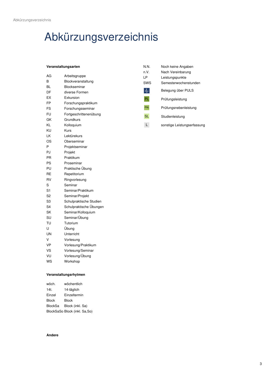# <span id="page-2-0"></span>Abkürzungsverzeichnis

#### **Veranstaltungsarten**

| AG             | Arbeitsgruppe           |
|----------------|-------------------------|
| B              | Blockveranstaltung      |
| ВL             | Blockseminar            |
| DF             | diverse Formen          |
| EX             | Exkursion               |
| FP             | Forschungspraktikum     |
| FS             | Forschungsseminar       |
| FU             | Fortgeschrittenenübung  |
| GK             | Grundkurs               |
| ΚL             | Kolloquium              |
| KU             | Kurs                    |
| LK             | Lektürekurs             |
| ΟS             | Oberseminar             |
| P              | Projektseminar          |
| PJ             | Projekt                 |
| PR             | Praktikum               |
| PS             | Proseminar              |
| PU             | Praktische Übung        |
| RE             | Repetitorium            |
| RV             | Ringvorlesung           |
| S              | Seminar                 |
| S <sub>1</sub> | Seminar/Praktikum       |
| S <sub>2</sub> | Seminar/Projekt         |
| S3             | Schulpraktische Studien |
| S4             | Schulpraktische Übungen |
| SK             | Seminar/Kolloquium      |
| SU             | Seminar/Übung           |
| TU             | Tutorium                |
| U              | Übung                   |
| UN             | Unterricht              |
| V              | Vorlesung               |
| <b>VP</b>      | Vorlesung/Praktikum     |
| VS             | Vorlesung/Seminar       |
| VU             | Vorlesung/Übung         |
| WS             | Workshop                |

| N.N.       | Noch keine Angaben          |
|------------|-----------------------------|
| n V.       | Nach Vereinbarung           |
| ΙP         | Leistungspunkte             |
| SWS        | Semesterwochenstunden       |
|            | Belegung über PULS          |
| <b>PL</b>  | Prüfungsleistung            |
| <b>PNL</b> | Prüfungsnebenleistung       |
| <b>SL</b>  | Studienleistung             |
|            | sonstige Leistungserfassung |

#### **Veranstaltungsrhytmen**

| wöch.        | wöchentlich                   |
|--------------|-------------------------------|
| 14t.         | 14-täglich                    |
| Einzel       | Einzeltermin                  |
| <b>Block</b> | Block                         |
| BlockSa      | Block (inkl. Sa)              |
|              | BlockSaSo Block (inkl. Sa,So) |

#### **Andere**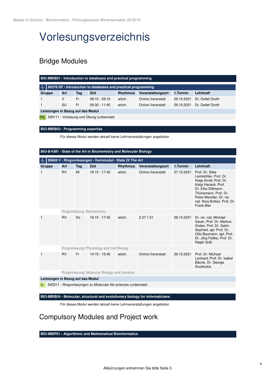## Vorlesungsverzeichnis

### <span id="page-3-0"></span>Bridge Modules

<span id="page-3-2"></span><span id="page-3-1"></span>

| BIO-MBIB01 - Introduction to databases and practical programming    |     |     |                                          |                 |                    |            |                  |  |
|---------------------------------------------------------------------|-----|-----|------------------------------------------|-----------------|--------------------|------------|------------------|--|
| 办<br>90376 DF - Introduction to databases and practical programming |     |     |                                          |                 |                    |            |                  |  |
| Gruppe                                                              | Art | Tag | <b>Zeit</b>                              | <b>Rhythmus</b> | Veranstaltungsort  | 1.Termin   | Lehrkraft        |  |
|                                                                     | ٧   | Fr. | $08:15 - 09:15$                          | wöch.           | Online. Veranstalt | 29.10.2021 | Dr. Detlef Groth |  |
|                                                                     | SU  | Fr. | $09:30 - 11:45$                          | wöch.           | Online. Veranstalt | 29.10.2021 | Dr. Detlef Groth |  |
| Leistungen in Bezug auf das Modul                                   |     |     |                                          |                 |                    |            |                  |  |
| <b>PNL</b>                                                          |     |     | 549111 - Vorlesung und Übung (unbenotet) |                 |                    |            |                  |  |

#### <span id="page-3-3"></span>**BIO-MBIB03 - Programming expertise**

Für dieses Modul werden aktuell keine Lehrveranstaltungen angeboten

#### <span id="page-3-4"></span>**BIO-B-KM1 - State of the Art in Biochemistry and Molecular Biology**

<span id="page-3-5"></span>

|                                   | 89608 V - Ringvorlesungen - Kernmodul - State Of The Art |     |                                                                 |                 |                    |            |                                                                                                                                                                                                                        |  |  |  |
|-----------------------------------|----------------------------------------------------------|-----|-----------------------------------------------------------------|-----------------|--------------------|------------|------------------------------------------------------------------------------------------------------------------------------------------------------------------------------------------------------------------------|--|--|--|
| Gruppe                            | Art                                                      | Tag | Zeit                                                            | <b>Rhythmus</b> | Veranstaltungsort  | 1.Termin   | Lehrkraft                                                                                                                                                                                                              |  |  |  |
|                                   | <b>RV</b>                                                | Mi  | $16:15 - 17:45$                                                 | wöch.           | Online. Veranstalt | 27.10.2021 | Prof. Dr. Silke<br>Leimkühler, Prof. Dr.<br>Katja Arndt, Prof. Dr.<br>Katja Hanack, Prof.<br>Dr. Elke Dittmann-<br>Thünemann, Prof. Dr.<br>Petra Wendler, Dr. rer.<br>nat. Nina Bröker, Prof. Dr.<br><b>Frank Bier</b> |  |  |  |
|                                   |                                                          |     | Ringvorlesung: Biochemistry                                     |                 |                    |            |                                                                                                                                                                                                                        |  |  |  |
| 1                                 | <b>RV</b>                                                | Do  | $16:15 - 17:45$                                                 | wöch.           | 2.27.1.01          | 28.10.2021 | Dr. rer. nat. Michael<br>Sauer, Prof. Dr. Markus<br>Grebe, Prof. Dr. Salim<br>Seyfried, apl. Prof. Dr.<br>Otto Baumann, apl. Prof.<br>Dr. Jörg Fettke, Prof. Dr.<br>Ralph Gräf                                         |  |  |  |
|                                   |                                                          |     | Ringvorlesung: Physiology and Cell Biology                      |                 |                    |            |                                                                                                                                                                                                                        |  |  |  |
| 1                                 | <b>RV</b>                                                | Fr  | $14:15 - 15:45$                                                 | wöch.           | Online. Veranstalt | 29.10.2021 | Prof. Dr. Michael<br>Lenhard, Prof. Dr. Isabel<br>Bäurle, Dr. George<br>Soultoukis                                                                                                                                     |  |  |  |
|                                   |                                                          |     | Ringvorlesung: Molecular Biology and Genetics                   |                 |                    |            |                                                                                                                                                                                                                        |  |  |  |
| Leistungen in Bezug auf das Modul |                                                          |     |                                                                 |                 |                    |            |                                                                                                                                                                                                                        |  |  |  |
| <b>SL</b>                         |                                                          |     | 543311 - Ringvorlesungen zu Molecular life sciences (unbenotet) |                 |                    |            |                                                                                                                                                                                                                        |  |  |  |

#### <span id="page-3-6"></span>**BIO-MBIB04 - Molecular, structural and evolutionary biology for informaticians**

Für dieses Modul werden aktuell keine Lehrveranstaltungen angeboten

### <span id="page-3-7"></span>Compulsory Modules and Project work

<span id="page-3-8"></span>**BIO-MBIP01 - Algorithmic and Mathematical Bioinformatics**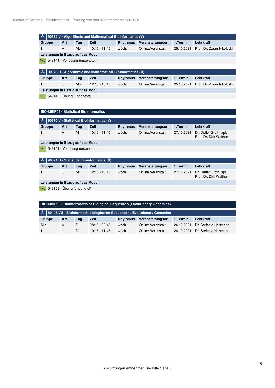<span id="page-4-1"></span><span id="page-4-0"></span>

| 90372 V - Algorithmic and Mathematical Bioinformatics (V)<br>∥∼ |                                   |     |                                                           |                 |                    |            |                                                  |  |  |  |
|-----------------------------------------------------------------|-----------------------------------|-----|-----------------------------------------------------------|-----------------|--------------------|------------|--------------------------------------------------|--|--|--|
| Gruppe                                                          | Art                               | Tag | <b>Zeit</b>                                               | <b>Rhythmus</b> | Veranstaltungsort  | 1.Termin   | Lehrkraft                                        |  |  |  |
| $\mathbf{1}$                                                    | $\vee$                            | Mo  | $10:15 - 11:45$                                           | wöch.           | Online. Veranstalt | 25.10.2021 | Prof. Dr. Zoran Nikoloski                        |  |  |  |
|                                                                 | Leistungen in Bezug auf das Modul |     |                                                           |                 |                    |            |                                                  |  |  |  |
| <b>PNL</b>                                                      | 549141 - Vorlesung (unbenotet)    |     |                                                           |                 |                    |            |                                                  |  |  |  |
|                                                                 |                                   |     |                                                           |                 |                    |            |                                                  |  |  |  |
| ⊸∥∼                                                             |                                   |     | 90373 U - Algorithmic and Mathematical Bioinformatics (U) |                 |                    |            |                                                  |  |  |  |
| Gruppe                                                          | Art                               | Tag | <b>Zeit</b>                                               | <b>Rhythmus</b> | Veranstaltungsort  | 1.Termin   | Lehrkraft                                        |  |  |  |
| 1                                                               | U                                 | Mo  | $12:15 - 13:45$                                           | wöch.           | Online. Veranstalt | 25.10.2021 | Prof. Dr. Zoran Nikoloski                        |  |  |  |
| Leistungen in Bezug auf das Modul                               |                                   |     |                                                           |                 |                    |            |                                                  |  |  |  |
| <b>PNL</b>                                                      | 549142 - Übung (unbenotet)        |     |                                                           |                 |                    |            |                                                  |  |  |  |
|                                                                 |                                   |     |                                                           |                 |                    |            |                                                  |  |  |  |
| <b>BIO-MBIP02 - Statistical Bioinformatics</b>                  |                                   |     |                                                           |                 |                    |            |                                                  |  |  |  |
|                                                                 |                                   |     |                                                           |                 |                    |            |                                                  |  |  |  |
| 办                                                               |                                   |     | 90370 V - Statistical Bioinformatics (V)                  |                 |                    |            |                                                  |  |  |  |
| Gruppe                                                          | Art                               | Tag | Zeit                                                      | <b>Rhythmus</b> | Veranstaltungsort  | 1.Termin   | Lehrkraft                                        |  |  |  |
| 1                                                               | $\vee$                            | Mi  | $10:15 - 11:45$                                           | wöch.           | Online. Veranstalt | 27.10.2021 | Dr. Detlef Groth, apl.<br>Prof. Dr. Dirk Walther |  |  |  |
| Leistungen in Bezug auf das Modul                               |                                   |     |                                                           |                 |                    |            |                                                  |  |  |  |
| <b>PNL</b>                                                      | 549151 - Vorlesung (unbenotet)    |     |                                                           |                 |                    |            |                                                  |  |  |  |
|                                                                 |                                   |     |                                                           |                 |                    |            |                                                  |  |  |  |
| 90371 U - Statistical Bioinformatics (U)<br>᠕μ                  |                                   |     |                                                           |                 |                    |            |                                                  |  |  |  |
| Gruppe                                                          | Art                               | Tag | <b>Zeit</b>                                               | <b>Rhythmus</b> | Veranstaltungsort  | 1.Termin   | Lehrkraft                                        |  |  |  |
| 1                                                               | U                                 | Mi  | 12:15 - 13:45                                             | wöch.           | Online. Veranstalt | 27.10.2021 | Dr. Detlef Groth, apl.<br>Prof. Dr. Dirk Walther |  |  |  |

<span id="page-4-4"></span><span id="page-4-3"></span><span id="page-4-2"></span>**Leistungen in Bezug auf das Modul**

PNL 549152 - Übung (unbenotet)

<span id="page-4-6"></span><span id="page-4-5"></span>

| <b>BIO-MBIP03 - Bioinformatics of Biological Sequences (Evolutionary Genomics)</b>       |     |     |                 |                 |                    |            |                       |  |  |
|------------------------------------------------------------------------------------------|-----|-----|-----------------|-----------------|--------------------|------------|-----------------------|--|--|
| M <sub>r</sub>   89448 VU - Bioinformatik biologischer Sequenzen / Evolutionary Genomics |     |     |                 |                 |                    |            |                       |  |  |
| Gruppe                                                                                   | Art | Tag | <b>Zeit</b>     | <b>Rhythmus</b> | Veranstaltungsort  | 1.Termin   | Lehrkraft             |  |  |
| Alle                                                                                     | v   | Di  | $08:15 - 09:45$ | wöch.           | Online. Veranstalt | 26.10.2021 | Dr. Stefanie Hartmann |  |  |
|                                                                                          | U   | Di  | $10:15 - 11:45$ | wöch.           | Online. Veranstalt | 26.10.2021 | Dr. Stefanie Hartmann |  |  |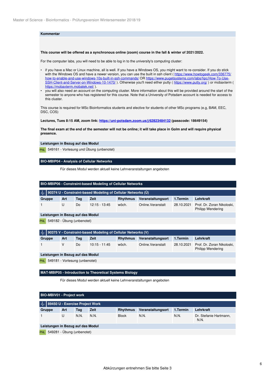#### **Kommentar**

#### **This course will be offered as a synchronous online (zoom) course in the fall & winter of 2021/2022.**

For the computer labs, you will need to be able to log in to the university's computing cluster:

- if you have a Mac or Linux machine, all is well. If you have a Windows OS, you might want to re-consider. If you do stick with the Windows OS and have a newer version, you can use the built in ssh client ( https://www.howtogeek.com/336775/ how-to-enable-and-use-windows-10s-built-in-ssh-commands/ OR https://www.pugetsystems.com/labs/hpc/How-To-Use-SSH-Client-and-Server-on-Windows-10-1470/). Otherwise you'll need either putty ( https://www.putty.org/) or mobaxterm ( https://mobaxterm.mobatek.net/ ).
- you will also need an account on the computing cluster. More information about this will be provided around the start of the semester to anyone who has registered for this course. Note that a University of Potsdam account is needed for access to this cluster.

This course is required for MSc Bioinformatics students and elective for students of other MSc programs (e.g, BAM, EEC, DSC, COS)

**Lectures, Tues 8:15 AM, zoom link: https://uni-potsdam.zoom.us/j/62823484132 (passcode: 18649154)**

**The final exam at the end of the semester will not be online; it will take place in Golm and will require physical presence.**

**Leistungen in Bezug auf das Modul**

PNL 549161 - Vorlesung und Übung (unbenotet)

#### <span id="page-5-0"></span>**BIO-MBIP04 - Analysis of Cellular Networks**

Für dieses Modul werden aktuell keine Lehrveranstaltungen angeboten

<span id="page-5-1"></span>

| BIO-MBIP06 - Constraint-based Modeling of Cellular Networks |  |
|-------------------------------------------------------------|--|
|-------------------------------------------------------------|--|

<span id="page-5-2"></span>

| $\sqrt{1/2}$ 90374 U - Constraint-based Modeling of Cellular Networks (U) |     |     |                 |                 |                    |          |                                                                   |  |  |
|---------------------------------------------------------------------------|-----|-----|-----------------|-----------------|--------------------|----------|-------------------------------------------------------------------|--|--|
| Gruppe                                                                    | Art | Tag | Zeit            | <b>Rhythmus</b> | Veranstaltungsort  | 1.Termin | Lehrkraft                                                         |  |  |
|                                                                           |     | Do  | $12:15 - 13:45$ | wöch.           | Online. Veranstalt |          | 28.10.2021 Prof. Dr. Zoran Nikoloski,<br><b>Philipp Wendering</b> |  |  |

**Leistungen in Bezug auf das Modul**

PNL 549182 - Übung (unbenotet)

<span id="page-5-3"></span>

|                                   | $\mathcal{A}_{\mathcal{C}}$ 90375 V - Constraint-based Modeling of Cellular Networks (V) |     |     |                 |                 |                    |            |                                                        |  |  |
|-----------------------------------|------------------------------------------------------------------------------------------|-----|-----|-----------------|-----------------|--------------------|------------|--------------------------------------------------------|--|--|
|                                   | Gruppe                                                                                   | Art | Tag | Zeit            | <b>Rhythmus</b> | Veranstaltungsort  | 1.Termin   | Lehrkraft                                              |  |  |
|                                   |                                                                                          |     | Do  | $10:15 - 11:45$ | wöch.           | Online. Veranstalt | 28.10.2021 | Prof. Dr. Zoran Nikoloski,<br><b>Philipp Wendering</b> |  |  |
| Leistungen in Bezug auf das Modul |                                                                                          |     |     |                 |                 |                    |            |                                                        |  |  |
|                                   | PNL 549181 - Vorlesung (unbenotet)                                                       |     |     |                 |                 |                    |            |                                                        |  |  |
|                                   |                                                                                          |     |     |                 |                 |                    |            |                                                        |  |  |

#### <span id="page-5-4"></span>**MAT-MBIP05 - Introduction to Theoretical Systems Biology**

Für dieses Modul werden aktuell keine Lehrveranstaltungen angeboten

<span id="page-5-6"></span><span id="page-5-5"></span>

| <b>BIO-MBIV01 - Project work</b>                              |                                  |      |      |                 |                   |          |                                |  |  |
|---------------------------------------------------------------|----------------------------------|------|------|-----------------|-------------------|----------|--------------------------------|--|--|
| $\mathcal{A}_{\mathcal{C}}$   89450 U - Exercise Project Work |                                  |      |      |                 |                   |          |                                |  |  |
| Gruppe                                                        | Art                              | Tag  | Zeit | <b>Rhythmus</b> | Veranstaltungsort | 1.Termin | Lehrkraft                      |  |  |
|                                                               | U                                | N.N. | N.N. | <b>Block</b>    | N.N.              | N.N.     | Dr. Stefanie Hartmann,<br>N.N. |  |  |
| Leistungen in Bezug auf das Modul                             |                                  |      |      |                 |                   |          |                                |  |  |
|                                                               | $PNL$ 549281 - Übung (unbenotet) |      |      |                 |                   |          |                                |  |  |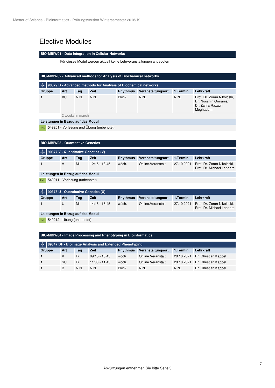### <span id="page-6-0"></span>Elective Modules

#### <span id="page-6-1"></span>**BIO-MBIW01 - Data Integration in Cellular Networks**

Für dieses Modul werden aktuell keine Lehrveranstaltungen angeboten

<span id="page-6-3"></span><span id="page-6-2"></span>

| <b>BIO-MBIW02 - Advanced methods for Analysis of Biochemical networks</b> |                  |      |             |                 |                   |          |                                                                                      |
|---------------------------------------------------------------------------|------------------|------|-------------|-----------------|-------------------|----------|--------------------------------------------------------------------------------------|
| 90379 B - Advanced methods for Analysis of Biochemical networks<br>᠕́∼    |                  |      |             |                 |                   |          |                                                                                      |
| Gruppe                                                                    | Art              | Tag  | <b>Zeit</b> | <b>Rhythmus</b> | Veranstaltungsort | 1.Termin | Lehrkraft                                                                            |
|                                                                           | VU               | N.N. | N.N.        | <b>Block</b>    | N.N.              | N.N.     | Prof. Dr. Zoran Nikoloski.<br>Dr. Nooshin Omranian.<br>Dr. Zahra Razaghi<br>Moghadam |
|                                                                           | 2 weeks in march |      |             |                 |                   |          |                                                                                      |
| Leistungen in Bezug auf das Modul                                         |                  |      |             |                 |                   |          |                                                                                      |
| 549201 - Vorlesung und Übung (unbenotet)<br><b>PNL</b>                    |                  |      |             |                 |                   |          |                                                                                      |

<span id="page-6-5"></span><span id="page-6-4"></span>

| <b>BIO-MBIW03 - Quantitative Genetics</b>    |     |     |                 |                 |                    |            |                                                         |
|----------------------------------------------|-----|-----|-----------------|-----------------|--------------------|------------|---------------------------------------------------------|
| 90377 V - Quantitative Genetics (V)          |     |     |                 |                 |                    |            |                                                         |
| Gruppe                                       | Art | Tag | Zeit            | <b>Rhythmus</b> | Veranstaltungsort  | 1.Termin   | Lehrkraft                                               |
|                                              | v   | Mi  | $12:15 - 13:45$ | wöch.           | Online. Veranstalt | 27.10.2021 | Prof. Dr. Zoran Nikoloski,<br>Prof. Dr. Michael Lenhard |
| Leistungen in Bezug auf das Modul            |     |     |                 |                 |                    |            |                                                         |
| 549211 - Vorlesung (unbenotet)<br><b>PNL</b> |     |     |                 |                 |                    |            |                                                         |
|                                              |     |     |                 |                 |                    |            |                                                         |

<span id="page-6-6"></span>

|        | $ \mathcal{A}_{\mathcal{F}} $ 90378 U - Quantitative Genetics (Ü) |     |                 |          |                    |          |                                                                    |
|--------|-------------------------------------------------------------------|-----|-----------------|----------|--------------------|----------|--------------------------------------------------------------------|
| Gruppe | Art                                                               | Taɑ | Zeit            | Rhythmus | Veranstaltungsort  | 1.Termin | Lehrkraft                                                          |
|        |                                                                   | Mi  | $14:15 - 15:45$ | wöch.    | Online. Veranstalt |          | 27.10.2021 Prof. Dr. Zoran Nikoloski,<br>Prof. Dr. Michael Lenhard |

**Leistungen in Bezug auf das Modul**

PNL 549212 - Übung (unbenotet)

#### <span id="page-6-7"></span>**BIO-MBIW04 - Image Processing and Phenotyping in Bioinformatics**

<span id="page-6-8"></span>

|        | $\mathcal{A}_{\mathcal{F}}$ 89847 DF - Bioimage Analysis and Extended Phenotyping |      |                 |                 |                    |            |                      |
|--------|-----------------------------------------------------------------------------------|------|-----------------|-----------------|--------------------|------------|----------------------|
| Gruppe | Art                                                                               | Tag  | Zeit            | <b>Rhythmus</b> | Veranstaltungsort  | 1.Termin   | Lehrkraft            |
|        |                                                                                   | Fr   | $09:15 - 10:45$ | wöch.           | Online. Veranstalt | 29.10.2021 | Dr. Christian Kappel |
|        | SU                                                                                | Fr   | $11:00 - 11:45$ | wöch.           | Online. Veranstalt | 29.10.2021 | Dr. Christian Kappel |
|        | B                                                                                 | N.N. | N.N.            | <b>Block</b>    | N.N.               | N.N.       | Dr. Christian Kappel |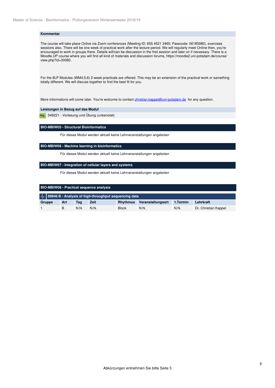#### **Kommentar**

The course will take place Onlive via Zoom conferences (Meeting ID: 655 4521 3465; Passcode: 06185980), exercises sessions also. There will be one week of practical work after the lecture period. We will regularly meet Online then, you're encouraged to work in groups there. Details will/can be discussion in the first session and later on if necessary. There is a Moodle.UP course where you will find all kind of materials and discussion forums, https://moodle2.uni-potsdam.de/course/ view.php?id=30080.

For the 8LP Modules (WM4,5,6) 2-week practicals are offered. This may be an extension of the practical work or samething totally different. We will discuss together to find the best fit for you.

More informations will come later. You're wolcome to contact christian.kappel@uni-potsdam.de for any question.

#### **Leistungen in Bezug auf das Modul**

PNL 549221 - Vorlesung und Übung (unbenotet)

#### <span id="page-7-0"></span>**BIO-MBIW05 - Structural Bioinformatics**

Für dieses Modul werden aktuell keine Lehrveranstaltungen angeboten

#### <span id="page-7-1"></span>**BIO-MBIW06 - Machine learning in bioinformatics**

Für dieses Modul werden aktuell keine Lehrveranstaltungen angeboten

#### <span id="page-7-2"></span>**BIO-MBIW07 - Integration of cellular layers and systems**

Für dieses Modul werden aktuell keine Lehrveranstaltungen angeboten

<span id="page-7-4"></span><span id="page-7-3"></span>

| <b>BIO-MBIW08 - Practical sequence analysis</b>                                       |     |      |      |                 |                   |          |                      |  |
|---------------------------------------------------------------------------------------|-----|------|------|-----------------|-------------------|----------|----------------------|--|
| $\ \mathcal{A}\ _{\mathcal{C}}$ 89846 B - Analysis of high-throughput sequencing data |     |      |      |                 |                   |          |                      |  |
| Gruppe                                                                                | Art | Tag  | Zeit | <b>Rhythmus</b> | Veranstaltungsort | 1.Termin | Lehrkraft            |  |
|                                                                                       |     | N.N. | N.N. | <b>Block</b>    | N.N.              | N.N.     | Dr. Christian Kappel |  |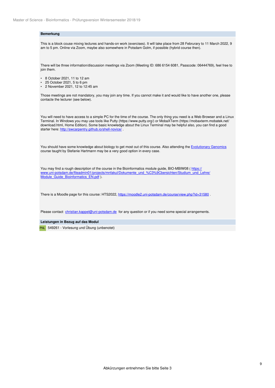#### **Bemerkung**

This is a block couse mixing lectures and hands-on work (exercises). It will take place from 28 Februrary to 11 March 2022, 9 am to 5 pm. Online via Zoom, maybe also somewhere in Potsdam Golm, if possible (hybrid course then).

There will be three information/discussion meetings via Zoom (Meeting ID: 686 6154 6081, Passcode: 06444769), feel free to join them.

- 8 October 2021, 11 to 12 am
- 25 October 2021, 5 to 6 pm
- 2 November 2021, 12 to 12:45 am

Those meetings are not mandatory, you may join any time. If you cannot make it and would like to have another one, please contacte the lecturer (see below).

You will need to have access to a simple PC for the time of the course. The only thing you need is a Web Browser and a Linux Terminal. In Windows you may use tools like Putty (https://www.putty.org/) or MobaXTerm (https://mobaxterm.mobatek.net/ download.html, Home Edition). Some basic knowledge about the Linux Terminal may be helpful also, you can find a good starter here: http://swcarpentry.github.io/shell-novice/ .

You should have some knowledge about biology to get most out of this course. Also attending the Evolutionary Genomics course taught by Stefanie Hartmann may be a very good option in every case.

You may find a rough description of the course in the Bioinformatics module guide, BIO-MBIW08 (https:// www.uni-potsdam.de/fileadmin01/projects/mnfakul/Dokumente\_und\_%C3%9Cbersichten/Studium\_und\_Lehre/ Module\_Guide\_Bioinformatics\_EN.pdf ).

There is a Moodle page for this course: HTS2022, https://moodle2.uni-potsdam.de/course/view.php?id=31580.

Please contact christian.kappel@uni-potsdam.de for any question or if you need some special arrangements.

#### **Leistungen in Bezug auf das Modul**

PNL 549261 - Vorlesung und Übung (unbenotet)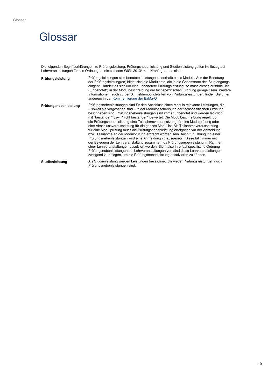## <span id="page-9-0"></span>**Glossar**

Die folgenden Begriffserklärungen zu Prüfungsleistung, Prüfungsnebenleistung und Studienleistung gelten im Bezug auf Lehrveranstaltungen für alle Ordnungen, die seit dem WiSe 2013/14 in Kranft getreten sind.

| Prüfungsleistung      | Prüfungsleistungen sind benotete Leistungen innerhalb eines Moduls. Aus der Benotung<br>der Prüfungsleistung(en) bildet sich die Modulnote, die in die Gesamtnote des Studiengangs<br>eingeht. Handelt es sich um eine unbenotete Prüfungsleistung, so muss dieses ausdrücklich<br>("unbenotet") in der Modulbeschreibung der fachspezifischen Ordnung geregelt sein. Weitere<br>Informationen, auch zu den Anmeldemöglichkeiten von Prüfungsleistungen, finden Sie unter<br>anderem in der Kommentierung der BaMa-O                                                                                                                                                                                                                                                                                                                                                                                                                                                                                                                                                                                                                            |
|-----------------------|-------------------------------------------------------------------------------------------------------------------------------------------------------------------------------------------------------------------------------------------------------------------------------------------------------------------------------------------------------------------------------------------------------------------------------------------------------------------------------------------------------------------------------------------------------------------------------------------------------------------------------------------------------------------------------------------------------------------------------------------------------------------------------------------------------------------------------------------------------------------------------------------------------------------------------------------------------------------------------------------------------------------------------------------------------------------------------------------------------------------------------------------------|
| Prüfungsnebenleistung | Prüfungsnebenleistungen sind für den Abschluss eines Moduls relevante Leistungen, die<br>- soweit sie vorgesehen sind – in der Modulbeschreibung der fachspezifischen Ordnung<br>beschrieben sind. Prüfungsnebenleistungen sind immer unbenotet und werden lediglich<br>mit "bestanden" bzw. "nicht bestanden" bewertet. Die Modulbeschreibung regelt, ob<br>die Prüfungsnebenleistung eine Teilnahmevoraussetzung für eine Modulprüfung oder<br>eine Abschlussvoraussetzung für ein ganzes Modul ist. Als Teilnahmevoraussetzung<br>für eine Modulprüfung muss die Prüfungsnebenleistung erfolgreich vor der Anmeldung<br>bzw. Teilnahme an der Modulprüfung erbracht worden sein. Auch für Erbringung einer<br>Prüfungsnebenleistungen wird eine Anmeldung vorausgesetzt. Diese fällt immer mit<br>der Belegung der Lehrveranstaltung zusammen, da Prüfungsnebenleistung im Rahmen<br>einer Lehrveranstaltungen absolviert werden. Sieht also Ihre fachspezifische Ordnung<br>Prüfungsnebenleistungen bei Lehrveranstaltungen vor, sind diese Lehrveranstaltungen<br>zwingend zu belegen, um die Prüfungsnebenleistung absolvieren zu können. |
| Studienleistung       | Als Studienleistung werden Leistungen bezeichnet, die weder Prüfungsleistungen noch<br>Prüfungsnebenleistungen sind.                                                                                                                                                                                                                                                                                                                                                                                                                                                                                                                                                                                                                                                                                                                                                                                                                                                                                                                                                                                                                            |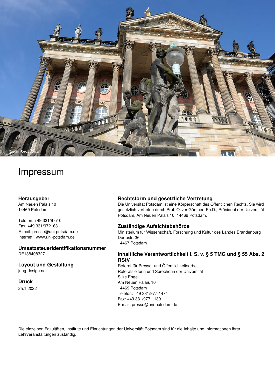

## Impressum

#### **Herausgeber**

Am Neuen Palais 10 14469 Potsdam

Telefon: +49 331/977-0 Fax: +49 331/972163 E-mail: presse@uni-potsdam.de Internet: [www.uni-potsdam.de](http://www.uni-potsdam.de)

**Umsatzsteueridentifikationsnummer** DE138408327

**Layout und Gestaltung**

jung-design.net

**Druck**

25.1.2022

#### **Rechtsform und gesetzliche Vertretung**

Die Universität Potsdam ist eine Körperschaft des Öffentlichen Rechts. Sie wird gesetzlich vertreten durch Prof. Oliver Günther, Ph.D., Präsident der Universität Potsdam, Am Neuen Palais 10, 14469 Potsdam.

#### **Zuständige Aufsichtsbehörde**

Ministerium für Wissenschaft, Forschung und Kultur des Landes Brandenburg Dortustr. 36 14467 Potsdam

#### **Inhaltliche Verantwortlichkeit i. S. v. § 5 TMG und § 55 Abs. 2 RStV**

Referat für Presse- und Öffentlichkeitsarbeit Referatsleiterin und Sprecherin der Universität Silke Engel Am Neuen Palais 10 14469 Potsdam Telefon: +49 331/977-1474 Fax: +49 331/977-1130 E-mail: presse@uni-potsdam.de

Die einzelnen Fakultäten, Institute und Einrichtungen der Universität Potsdam sind für die Inhalte und Informationen ihrer Lehrveranstaltungen zuständig.